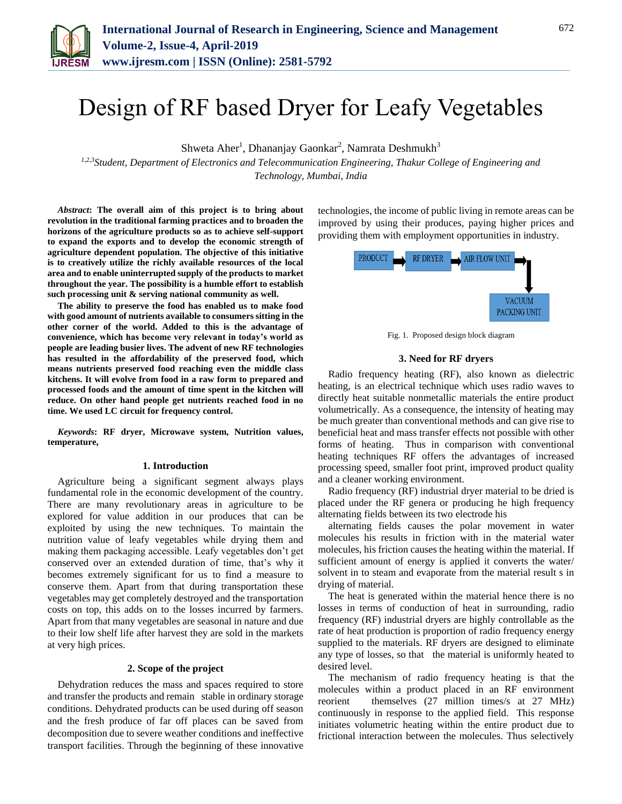

# Design of RF based Dryer for Leafy Vegetables

Shweta Aher<sup>1</sup>, Dhananjay Gaonkar<sup>2</sup>, Namrata Deshmukh<sup>3</sup>

*1,2,3Student, Department of Electronics and Telecommunication Engineering, Thakur College of Engineering and Technology, Mumbai, India*

*Abstract***: The overall aim of this project is to bring about revolution in the traditional farming practices and to broaden the horizons of the agriculture products so as to achieve self-support to expand the exports and to develop the economic strength of agriculture dependent population. The objective of this initiative is to creatively utilize the richly available resources of the local area and to enable uninterrupted supply of the products to market throughout the year. The possibility is a humble effort to establish such processing unit & serving national community as well.**

**The ability to preserve the food has enabled us to make food with good amount of nutrients available to consumers sitting in the other corner of the world. Added to this is the advantage of convenience, which has become very relevant in today's world as people are leading busier lives. The advent of new RF technologies has resulted in the affordability of the preserved food, which means nutrients preserved food reaching even the middle class kitchens. It will evolve from food in a raw form to prepared and processed foods and the amount of time spent in the kitchen will reduce. On other hand people get nutrients reached food in no time. We used LC circuit for frequency control.**

*Keywords***: RF dryer, Microwave system, Nutrition values, temperature,**

#### **1. Introduction**

Agriculture being a significant segment always plays fundamental role in the economic development of the country. There are many revolutionary areas in agriculture to be explored for value addition in our produces that can be exploited by using the new techniques. To maintain the nutrition value of leafy vegetables while drying them and making them packaging accessible. Leafy vegetables don't get conserved over an extended duration of time, that's why it becomes extremely significant for us to find a measure to conserve them. Apart from that during transportation these vegetables may get completely destroyed and the transportation costs on top, this adds on to the losses incurred by farmers. Apart from that many vegetables are seasonal in nature and due to their low shelf life after harvest they are sold in the markets at very high prices.

## **2. Scope of the project**

Dehydration reduces the mass and spaces required to store and transfer the products and remain stable in ordinary storage conditions. Dehydrated products can be used during off season and the fresh produce of far off places can be saved from decomposition due to severe weather conditions and ineffective transport facilities. Through the beginning of these innovative

technologies, the income of public living in remote areas can be improved by using their produces, paying higher prices and providing them with employment opportunities in industry.



Fig. 1. Proposed design block diagram

#### **3. Need for RF dryers**

Radio frequency heating (RF), also known as dielectric heating, is an electrical technique which uses radio waves to directly heat suitable nonmetallic materials the entire product volumetrically. As a consequence, the intensity of heating may be much greater than conventional methods and can give rise to beneficial heat and mass transfer effects not possible with other forms of heating. Thus in comparison with conventional heating techniques RF offers the advantages of increased processing speed, smaller foot print, improved product quality and a cleaner working environment.

Radio frequency (RF) industrial dryer material to be dried is placed under the RF genera or producing he high frequency alternating fields between its two electrode his

alternating fields causes the polar movement in water molecules his results in friction with in the material water molecules, his friction causes the heating within the material. If sufficient amount of energy is applied it converts the water/ solvent in to steam and evaporate from the material result s in drying of material.

The heat is generated within the material hence there is no losses in terms of conduction of heat in surrounding, radio frequency (RF) industrial dryers are highly controllable as the rate of heat production is proportion of radio frequency energy supplied to the materials. RF dryers are designed to eliminate any type of losses, so that the material is uniformly heated to desired level.

The mechanism of radio frequency heating is that the molecules within a product placed in an RF environment reorient themselves (27 million times/s at 27 MHz) continuously in response to the applied field. This response initiates volumetric heating within the entire product due to frictional interaction between the molecules. Thus selectively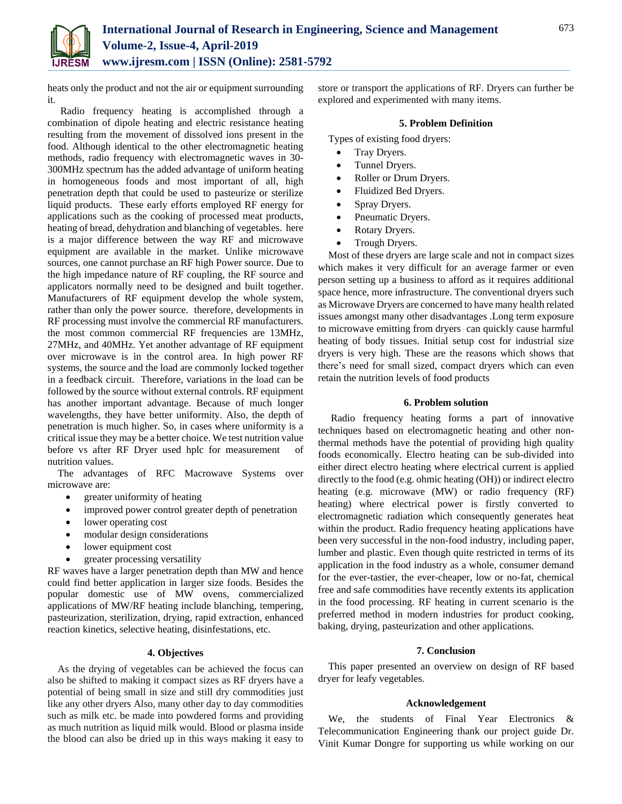

heats only the product and not the air or equipment surrounding it.

Radio frequency heating is accomplished through a combination of dipole heating and electric resistance heating resulting from the movement of dissolved ions present in the food. Although identical to the other electromagnetic heating methods, radio frequency with electromagnetic waves in 30- 300MHz spectrum has the added advantage of uniform heating in homogeneous foods and most important of all, high penetration depth that could be used to pasteurize or sterilize liquid products. These early efforts employed RF energy for applications such as the cooking of processed meat products, heating of bread, dehydration and blanching of vegetables. here is a major difference between the way RF and microwave equipment are available in the market. Unlike microwave sources, one cannot purchase an RF high Power source. Due to the high impedance nature of RF coupling, the RF source and applicators normally need to be designed and built together. Manufacturers of RF equipment develop the whole system, rather than only the power source. therefore, developments in RF processing must involve the commercial RF manufacturers. the most common commercial RF frequencies are 13MHz, 27MHz, and 40MHz. Yet another advantage of RF equipment over microwave is in the control area. In high power RF systems, the source and the load are commonly locked together in a feedback circuit. Therefore, variations in the load can be followed by the source without external controls. RF equipment has another important advantage. Because of much longer wavelengths, they have better uniformity. Also, the depth of penetration is much higher. So, in cases where uniformity is a critical issue they may be a better choice. We test nutrition value before vs after RF Dryer used hplc for measurement of nutrition values.

The advantages of RFC Macrowave Systems over microwave are:

- greater uniformity of heating
- improved power control greater depth of penetration
- lower operating cost
- modular design considerations
- lower equipment cost
- greater processing versatility

RF waves have a larger penetration depth than MW and hence could find better application in larger size foods. Besides the popular domestic use of MW ovens, commercialized applications of MW/RF heating include blanching, tempering, pasteurization, sterilization, drying, rapid extraction, enhanced reaction kinetics, selective heating, disinfestations, etc.

# **4. Objectives**

As the drying of vegetables can be achieved the focus can also be shifted to making it compact sizes as RF dryers have a potential of being small in size and still dry commodities just like any other dryers Also, many other day to day commodities such as milk etc. be made into powdered forms and providing as much nutrition as liquid milk would. Blood or plasma inside the blood can also be dried up in this ways making it easy to

store or transport the applications of RF. Dryers can further be explored and experimented with many items.

#### **5. Problem Definition**

Types of existing food dryers:

- Tray Dryers.
- Tunnel Dryers.
- Roller or Drum Dryers.
- Fluidized Bed Dryers.
- Spray Dryers.
- Pneumatic Dryers.
- Rotary Dryers.
- Trough Dryers.

Most of these dryers are large scale and not in compact sizes which makes it very difficult for an average farmer or even person setting up a business to afford as it requires additional space hence, more infrastructure. The conventional dryers such as Microwave Dryers are concerned to have many health related issues amongst many other disadvantages .Long term exposure to microwave emitting from dryers can quickly cause harmful heating of body tissues. Initial setup cost for industrial size dryers is very high. These are the reasons which shows that there's need for small sized, compact dryers which can even retain the nutrition levels of food products

## **6. Problem solution**

Radio frequency heating forms a part of innovative techniques based on electromagnetic heating and other nonthermal methods have the potential of providing high quality foods economically. Electro heating can be sub-divided into either direct electro heating where electrical current is applied directly to the food (e.g. ohmic heating (OH)) or indirect electro heating (e.g. microwave (MW) or radio frequency (RF) heating) where electrical power is firstly converted to electromagnetic radiation which consequently generates heat within the product. Radio frequency heating applications have been very successful in the non-food industry, including paper, lumber and plastic. Even though quite restricted in terms of its application in the food industry as a whole, consumer demand for the ever-tastier, the ever-cheaper, low or no-fat, chemical free and safe commodities have recently extents its application in the food processing. RF heating in current scenario is the preferred method in modern industries for product cooking, baking, drying, pasteurization and other applications.

#### **7. Conclusion**

This paper presented an overview on design of RF based dryer for leafy vegetables.

## **Acknowledgement**

We, the students of Final Year Electronics & Telecommunication Engineering thank our project guide Dr. Vinit Kumar Dongre for supporting us while working on our